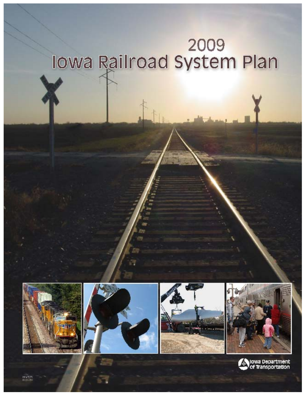## **The Summer of the Set of System Plan**









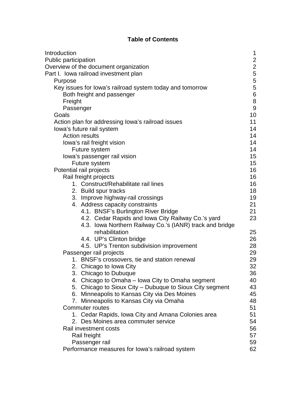## **Table of Contents**

| Introduction                                             | 1                |
|----------------------------------------------------------|------------------|
| <b>Public participation</b>                              | $\overline{2}$   |
| Overview of the document organization                    |                  |
| Part I. Iowa railroad investment plan                    | $\frac{2}{5}$    |
| Purpose                                                  | 5                |
| Key issues for lowa's railroad system today and tomorrow | 5                |
| Both freight and passenger                               | 6                |
| Freight                                                  | $\bf 8$          |
| Passenger                                                | $\boldsymbol{9}$ |
| Goals                                                    | 10               |
| Action plan for addressing lowa's railroad issues        | 11               |
| lowa's future rail system                                | 14               |
| <b>Action results</b>                                    | 14               |
| lowa's rail freight vision                               | 14               |
| Future system                                            | 14               |
| lowa's passenger rail vision                             | 15               |
| Future system                                            | 15               |
| Potential rail projects                                  | 16               |
| Rail freight projects                                    | 16               |
| 1. Construct/Rehabilitate rail lines                     | 16               |
| 2. Build spur tracks                                     | 18               |
| 3. Improve highway-rail crossings                        | 19               |
| 4. Address capacity constraints                          | 21               |
| 4.1. BNSF's Burlington River Bridge                      | 21               |
| 4.2. Cedar Rapids and Iowa City Railway Co.'s yard       | 23               |
| 4.3. Iowa Northern Railway Co.'s (IANR) track and bridge |                  |
| rehabilitation                                           | 25               |
| 4.4. UP's Clinton bridge                                 | 26               |
| 4.5. UP's Trenton subdivision improvement                | 28               |
| Passenger rail projects                                  | 29               |
| 1. BNSF's crossovers, tie and station renewal            | 29               |
| 2. Chicago to Iowa City                                  | 32               |
| 3. Chicago to Dubuque                                    | 36               |
| 4. Chicago to Omaha – Iowa City to Omaha segment         | 40               |
| 5. Chicago to Sioux City - Dubuque to Sioux City segment | 43               |
| 6. Minneapolis to Kansas City via Des Moines             | 45               |
| 7. Minneapolis to Kansas City via Omaha                  | 48               |
| <b>Commuter routes</b>                                   | 51               |
| 1. Cedar Rapids, Iowa City and Amana Colonies area       | 51               |
| 2. Des Moines area commuter service                      | 54               |
| Rail investment costs                                    | 56               |
| Rail freight                                             | 57               |
| Passenger rail                                           | 59<br>62         |
| Performance measures for lowa's railroad system          |                  |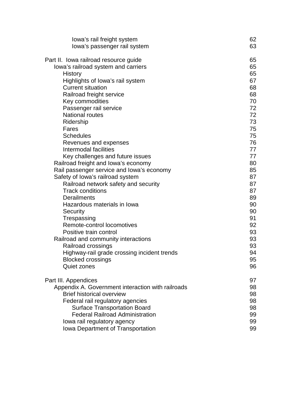| lowa's rail freight system                                                    | 62 |
|-------------------------------------------------------------------------------|----|
| lowa's passenger rail system                                                  | 63 |
|                                                                               |    |
| Part II. Iowa railroad resource guide                                         | 65 |
| lowa's railroad system and carriers                                           | 65 |
| History                                                                       | 65 |
| Highlights of lowa's rail system                                              | 67 |
| <b>Current situation</b>                                                      | 68 |
| Railroad freight service                                                      | 68 |
| Key commodities                                                               | 70 |
| Passenger rail service                                                        | 72 |
| <b>National routes</b>                                                        | 72 |
| Ridership                                                                     | 73 |
| Fares                                                                         | 75 |
| <b>Schedules</b>                                                              | 75 |
| Revenues and expenses                                                         | 76 |
| Intermodal facilities                                                         | 77 |
| Key challenges and future issues                                              | 77 |
| Railroad freight and lowa's economy                                           | 80 |
| Rail passenger service and lowa's economy                                     | 85 |
| Safety of lowa's railroad system                                              | 87 |
| Railroad network safety and security                                          | 87 |
| <b>Track conditions</b>                                                       | 87 |
| <b>Derailments</b>                                                            | 89 |
| Hazardous materials in Iowa                                                   | 90 |
| Security                                                                      | 90 |
| Trespassing                                                                   | 91 |
| Remote-control locomotives                                                    | 92 |
| Positive train control                                                        | 93 |
| Railroad and community interactions                                           | 93 |
| Railroad crossings                                                            | 93 |
| Highway-rail grade crossing incident trends                                   | 94 |
| <b>Blocked crossings</b>                                                      | 95 |
| <b>Quiet zones</b>                                                            | 96 |
| Part III. Appendices                                                          | 97 |
| Appendix A. Government interaction with railroads                             | 98 |
| <b>Brief historical overview</b>                                              | 98 |
| Federal rail regulatory agencies                                              | 98 |
|                                                                               |    |
| <b>Surface Transportation Board</b><br><b>Federal Railroad Administration</b> | 98 |
|                                                                               | 99 |
| lowa rail regulatory agency                                                   | 99 |
| Iowa Department of Transportation                                             | 99 |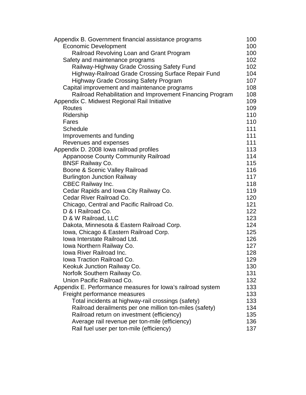| Appendix B. Government financial assistance programs                    | 100        |
|-------------------------------------------------------------------------|------------|
| <b>Economic Development</b>                                             | 100        |
| Railroad Revolving Loan and Grant Program                               | 100        |
| Safety and maintenance programs                                         | 102        |
| Railway-Highway Grade Crossing Safety Fund                              | 102        |
| Highway-Railroad Grade Crossing Surface Repair Fund                     | 104        |
| <b>Highway Grade Crossing Safety Program</b>                            | 107        |
| Capital improvement and maintenance programs                            | 108        |
| Railroad Rehabilitation and Improvement Financing Program               | 108        |
| Appendix C. Midwest Regional Rail Initiative                            | 109        |
| <b>Routes</b>                                                           | 109        |
| Ridership                                                               | 110        |
| Fares                                                                   | 110        |
| <b>Schedule</b>                                                         | 111        |
| Improvements and funding                                                | 111        |
| Revenues and expenses                                                   | 111        |
| Appendix D. 2008 lowa railroad profiles                                 | 113        |
| <b>Appanoose County Community Railroad</b>                              | 114        |
| <b>BNSF Railway Co.</b>                                                 | 115        |
| Boone & Scenic Valley Railroad                                          | 116        |
| <b>Burlington Junction Railway</b>                                      | 117        |
| <b>CBEC Railway Inc.</b>                                                | 118        |
| Cedar Rapids and Iowa City Railway Co.                                  | 119        |
| Cedar River Railroad Co.                                                | 120        |
| Chicago, Central and Pacific Railroad Co.                               | 121        |
| D & I Railroad Co.                                                      | 122<br>123 |
| D & W Railroad, LLC                                                     | 124        |
| Dakota, Minnesota & Eastern Railroad Corp.                              | 125        |
| Iowa, Chicago & Eastern Railroad Corp.<br>Iowa Interstate Railroad Ltd. | 126        |
| Iowa Northern Railway Co.                                               | 127        |
| Iowa River Railroad Inc.                                                | 128        |
| Iowa Traction Railroad Co.                                              | 129        |
| Keokuk Junction Railway Co.                                             | 130        |
| Norfolk Southern Railway Co.                                            | 131        |
| Union Pacific Railroad Co.                                              | 132        |
| Appendix E. Performance measures for lowa's railroad system             | 133        |
| Freight performance measures                                            | 133        |
| Total incidents at highway-rail crossings (safety)                      | 133        |
| Railroad derailments per one million ton-miles (safety)                 | 134        |
| Railroad return on investment (efficiency)                              | 135        |
| Average rail revenue per ton-mile (efficiency)                          | 136        |
| Rail fuel user per ton-mile (efficiency)                                | 137        |
|                                                                         |            |